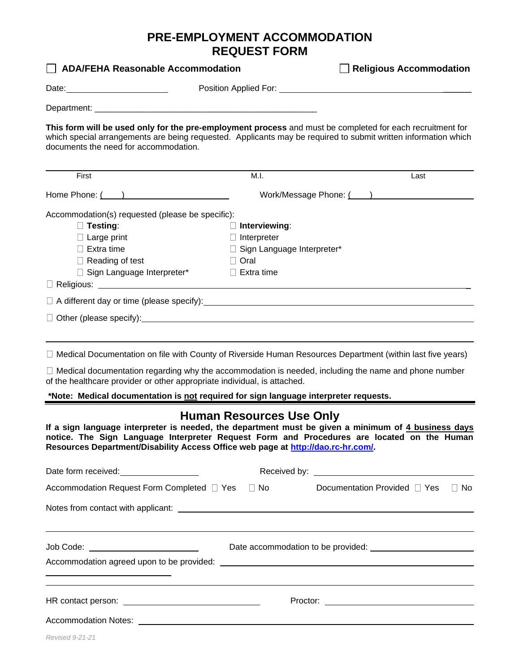## **PRE-EMPLOYMENT ACCOMMODATION REQUEST FORM**

| <b>ADA/FEHA Reasonable Accommodation</b>                                                                                                                                                                                                                                              |                                 | <b>Religious Accommodation</b>                   |
|---------------------------------------------------------------------------------------------------------------------------------------------------------------------------------------------------------------------------------------------------------------------------------------|---------------------------------|--------------------------------------------------|
|                                                                                                                                                                                                                                                                                       |                                 |                                                  |
|                                                                                                                                                                                                                                                                                       |                                 |                                                  |
| This form will be used only for the pre-employment process and must be completed for each recruitment for<br>which special arrangements are being requested. Applicants may be required to submit written information which<br>documents the need for accommodation.                  |                                 |                                                  |
| First                                                                                                                                                                                                                                                                                 | M.I.                            | Last                                             |
| Home Phone: ( )                                                                                                                                                                                                                                                                       |                                 | Work/Message Phone: ( ) North Message Phone: ( ) |
| Accommodation(s) requested (please be specific):                                                                                                                                                                                                                                      |                                 |                                                  |
| $\Box$ Testing:                                                                                                                                                                                                                                                                       | $\Box$ Interviewing:            |                                                  |
| $\Box$ Large print                                                                                                                                                                                                                                                                    | $\Box$ Interpreter              |                                                  |
| $\Box$ Extra time                                                                                                                                                                                                                                                                     | □ Sign Language Interpreter*    |                                                  |
| $\Box$ Reading of test                                                                                                                                                                                                                                                                | $\Box$ Oral                     |                                                  |
| □ Sign Language Interpreter*                                                                                                                                                                                                                                                          | $\Box$ Extra time               |                                                  |
| $\Box$ A different day or time (please specify): $\Box$ A different day or time (please specify):                                                                                                                                                                                     |                                 |                                                  |
|                                                                                                                                                                                                                                                                                       |                                 |                                                  |
|                                                                                                                                                                                                                                                                                       |                                 |                                                  |
| □ Medical Documentation on file with County of Riverside Human Resources Department (within last five years)                                                                                                                                                                          |                                 |                                                  |
| $\Box$ Medical documentation regarding why the accommodation is needed, including the name and phone number<br>of the healthcare provider or other appropriate individual, is attached.                                                                                               |                                 |                                                  |
| *Note: Medical documentation is not required for sign language interpreter requests.                                                                                                                                                                                                  |                                 |                                                  |
| If a sign language interpreter is needed, the department must be given a minimum of 4 business days<br>notice. The Sign Language Interpreter Request Form and Procedures are located on the Human<br>Resources Department/Disability Access Office web page at http://dao.rc-hr.com/. | <b>Human Resources Use Only</b> |                                                  |
|                                                                                                                                                                                                                                                                                       |                                 |                                                  |
| Accommodation Request Form Completed □ Yes                                                                                                                                                                                                                                            | $\Box$ No                       | Documentation Provided □ Yes<br>$\Box$ No        |
|                                                                                                                                                                                                                                                                                       |                                 |                                                  |
|                                                                                                                                                                                                                                                                                       |                                 |                                                  |
|                                                                                                                                                                                                                                                                                       |                                 |                                                  |
|                                                                                                                                                                                                                                                                                       |                                 |                                                  |
|                                                                                                                                                                                                                                                                                       |                                 |                                                  |